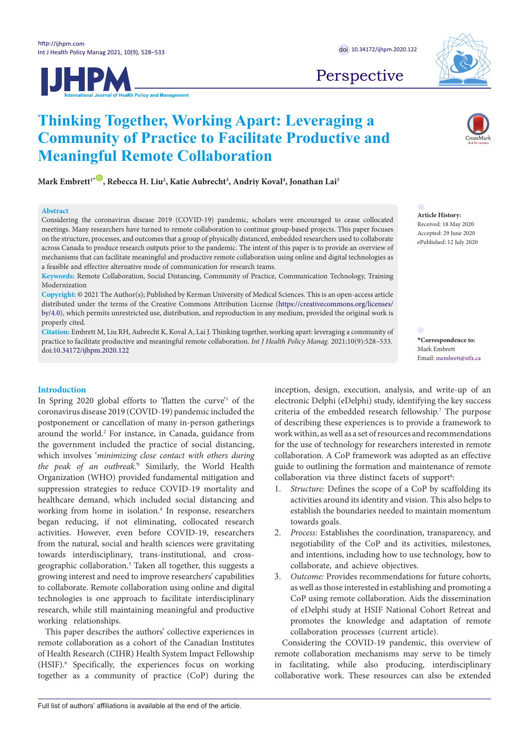**IJHPM** 



Perspective

**Article History:** Received: 18 May 2020 Accepted: 29 June 2020 ePublished: 12 July 2020

<span id="page-0-0"></span>**\*Correspondence to:** Mark Embrett Email: membrett@stfx.ca

**Thinking Together, Working Apart: Leveraging a Community of Practice to Facilitate Productive and Meaningful Remote Collaboration**

 $\mathbf{Mark}\ \mathbf{Embrett}^{\mathbf{1}\ast\mathbf{CD}}\ \mathbf{,}$  Rebecca H. Liu<sup>2</sup>, Katie Aubrecht $^3$ , Andriy Koval $^4$ , Jonathan Lai $^5$ 

#### **Abstract** Considering the coronavirus disease 2019 (COVID-19) pandemic, scholars were encouraged to cease collocated

on the structure, processes, and outcomes that a group of physically distanced, embedded researchers used to collaborate across Canada to produce research outputs prior to the pandemic. The intent of this paper is to provide an overview of mechanisms that can facilitate meaningful and productive remote collaboration using online and digital technologies as a feasible and effective alternative mode of communication for research teams. **Keywords:** Remote Collaboration, Social Distancing, Community of Practice, Communication Technology, Training Modernization

**Copyright:** © 2021 The Author(s); Published by Kerman University of Medical Sciences. This is an open-access article distributed under the terms of the Creative Commons Attribution License [\(https://creativecommons.org/licenses/](https://creativecommons.org/licenses/by/4.0) [by/4.0\)](https://creativecommons.org/licenses/by/4.0), which permits unrestricted use, distribution, and reproduction in any medium, provided the original work is properly cited.

meetings. Many researchers have turned to remote collaboration to continue group-based projects. This paper focuses

**Citation:** Embrett M, Liu RH, Aubrecht K, Koval A, Lai J. Thinking together, working apart: leveraging a community of practice to facilitate productive and meaningful remote collaboration. *Int J Health Policy Manag.* 2021;10(9):528–533. doi:[10.34172/ijhpm.2020.122](https://doi.org/10.34172/ijhpm.2020.122)

## **Introduction**

In Spring 2020 global efforts to 'flatten the curve'1 of the coronavirus disease 2019 (COVID-19) pandemic included the postponement or cancellation of many in-person gatherings around the world.<sup>2</sup> For instance, in Canada, guidance from the government included the practice of social distancing, which involves '*minimizing close contact with others during the peak of an outbreak.'*<sup>3</sup> Similarly, the World Health Organization (WHO) provided fundamental mitigation and suppression strategies to reduce COVID-19 mortality and healthcare demand, which included social distancing and working from home in isolation.<sup>4</sup> In response, researchers began reducing, if not eliminating, collocated research activities. However, even before COVID-19, researchers from the natural, social and health sciences were gravitating towards interdisciplinary, trans-institutional, and crossgeographic collaboration.5 Taken all together, this suggests a growing interest and need to improve researchers' capabilities to collaborate. Remote collaboration using online and digital technologies is one approach to facilitate interdisciplinary research, while still maintaining meaningful and productive working relationships.

This paper describes the authors' collective experiences in remote collaboration as a cohort of the Canadian Institutes of Health Research (CIHR) Health System Impact Fellowship (HSIF).6 Specifically, the experiences focus on working together as a community of practice (CoP) during the

inception, design, execution, analysis, and write-up of an electronic Delphi (eDelphi) study, identifying the key success criteria of the embedded research fellowship.<sup>7</sup> The purpose of describing these experiences is to provide a framework to work within, as well as a set of resources and recommendations for the use of technology for researchers interested in remote collaboration. A CoP framework was adopted as an effective guide to outlining the formation and maintenance of remote collaboration via three distinct facets of support<sup>8</sup>:

- 1. *Structure: Defines the scope of a CoP by scaffolding its* activities around its identity and vision. This also helps to establish the boundaries needed to maintain momentum towards goals.
- 2. *Process:* Establishes the coordination, transparency, and negotiability of the CoP and its activities, milestones, and intentions, including how to use technology, how to collaborate, and achieve objectives.
- 3. *Outcome:* Provides recommendations for future cohorts, as well as those interested in establishing and promoting a CoP using remote collaboration. Aids the dissemination of eDelphi study at HSIF National Cohort Retreat and promotes the knowledge and adaptation of remote collaboration processes (current article).

Considering the COVID-19 pandemic, this overview of remote collaboration mechanisms may serve to be timely in facilitating, while also producing, interdisciplinary collaborative work. These resources can also be extended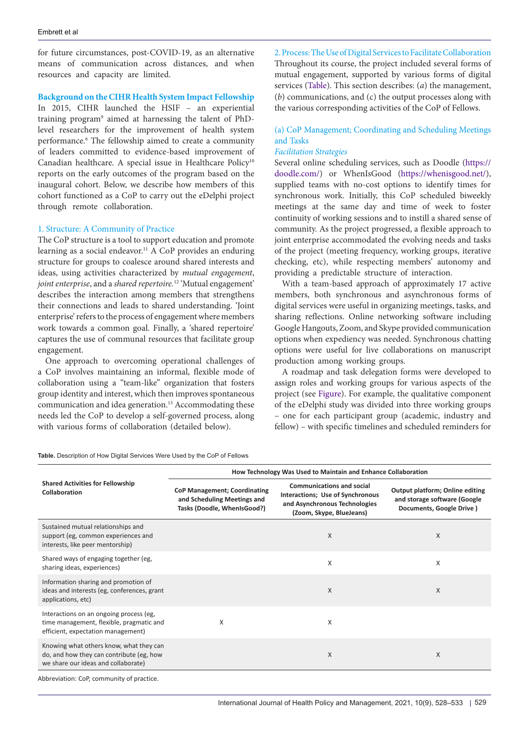for future circumstances, post-COVID-19, as an alternative means of communication across distances, and when resources and capacity are limited.

**Background on the CIHR Health System Impact Fellowship**

In 2015, CIHR launched the HSIF – an experiential training program<sup>9</sup> aimed at harnessing the talent of PhDlevel researchers for the improvement of health system performance.6 The fellowship aimed to create a community of leaders committed to evidence-based improvement of Canadian healthcare. A special issue in Healthcare Policy<sup>10</sup> reports on the early outcomes of the program based on the inaugural cohort. Below, we describe how members of this cohort functioned as a CoP to carry out the eDelphi project through remote collaboration.

### 1. Structure: A Community of Practice

The CoP structure is a tool to support education and promote learning as a social endeavor.<sup>11</sup> A CoP provides an enduring structure for groups to coalesce around shared interests and ideas, using activities characterized by *mutual engagement*, *joint enterprise*, and a *shared repertoire.*<sup>12</sup> 'Mutual engagement' describes the interaction among members that strengthens their connections and leads to shared understanding. 'Joint enterprise' refers to the process of engagement where members work towards a common goal. Finally, a 'shared repertoire' captures the use of communal resources that facilitate group engagement.

One approach to overcoming operational challenges of a CoP involves maintaining an informal, flexible mode of collaboration using a "team-like" organization that fosters group identity and interest, which then improves spontaneous communication and idea generation.13 Accommodating these needs led the CoP to develop a self-governed process, along with various forms of collaboration (detailed below).

<span id="page-1-0"></span>**Table.** Description of How Digital Services Were Used by the CoP of Fellows

| How Technology Was Used to Maintain and Enhance Collaboration                                     |                                                                                                                                   |                                                                                                    |
|---------------------------------------------------------------------------------------------------|-----------------------------------------------------------------------------------------------------------------------------------|----------------------------------------------------------------------------------------------------|
| <b>CoP Management; Coordinating</b><br>and Scheduling Meetings and<br>Tasks (Doodle, WhenIsGood?) | <b>Communications and social</b><br>Interactions; Use of Synchronous<br>and Asynchronous Technologies<br>(Zoom, Skype, BlueJeans) | <b>Output platform; Online editing</b><br>and storage software (Google<br>Documents, Google Drive) |
|                                                                                                   | X                                                                                                                                 | X                                                                                                  |
|                                                                                                   | X                                                                                                                                 | Χ                                                                                                  |
|                                                                                                   | X                                                                                                                                 | X                                                                                                  |
| X                                                                                                 | X                                                                                                                                 |                                                                                                    |
|                                                                                                   | X                                                                                                                                 | X                                                                                                  |
|                                                                                                   |                                                                                                                                   |                                                                                                    |

2. Process: The Use of Digital Services to Facilitate Collaboration Throughout its course, the project included several forms of mutual engagement, supported by various forms of digital services [\(Table\)](#page-1-0). This section describes: (*a*) the management, (*b*) communications, and (c) the output processes along with the various corresponding activities of the CoP of Fellows.

## (a) CoP Management; Coordinating and Scheduling Meetings and Tasks

## *Facilitation Strategies*

Several online scheduling services, such as Doodle ([https://](https://doodle.com/) [doodle.com/\)](https://doodle.com/) or WhenIsGood [\(https://whenisgood.net/](https://whenisgood.net/)), supplied teams with no-cost options to identify times for synchronous work. Initially, this CoP scheduled biweekly meetings at the same day and time of week to foster continuity of working sessions and to instill a shared sense of community. As the project progressed, a flexible approach to joint enterprise accommodated the evolving needs and tasks of the project (meeting frequency, working groups, iterative checking, etc), while respecting members' autonomy and providing a predictable structure of interaction.

With a team-based approach of approximately 17 active members, both synchronous and asynchronous forms of digital services were useful in organizing meetings, tasks, and sharing reflections. Online networking software including GoogleHangouts, Zoom, and Skype provided communication options when expediency was needed. Synchronous chatting options were useful for live collaborations on manuscript production among working groups.

A roadmap and task delegation forms were developed to assign roles and working groups for various aspects of the project (see [Figure](#page-2-0)). For example, the qualitative component of the eDelphi study was divided into three working groups – one for each participant group (academic, industry and fellow) – with specific timelines and scheduled reminders for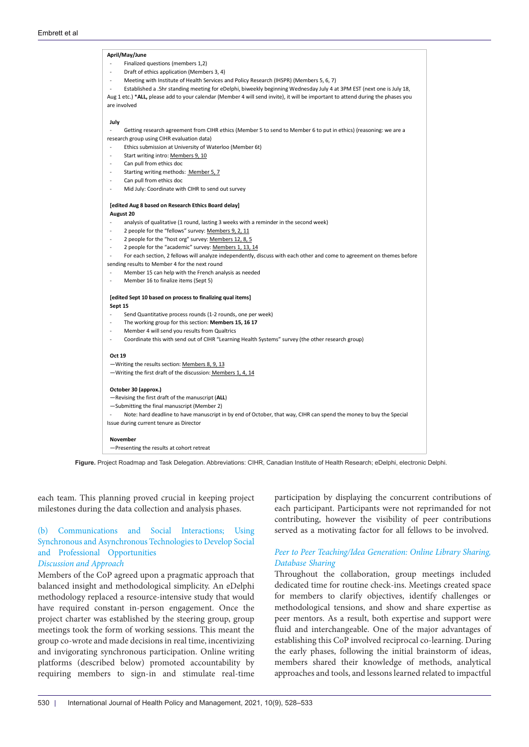<span id="page-2-0"></span>

**Figure.** Project Roadmap and Task Delegation. Abbreviations: CIHR, Canadian Institute of Health Research; eDelphi, electronic Delphi.

each team. This planning proved crucial in keeping project milestones during the data collection and analysis phases.

# (b) Communications and Social Interactions; Using Synchronous and Asynchronous Technologies to Develop Social and Professional Opportunities

# *Discussion and Approach*

Members of the CoP agreed upon a pragmatic approach that balanced insight and methodological simplicity. An eDelphi methodology replaced a resource-intensive study that would have required constant in-person engagement. Once the project charter was established by the steering group, group meetings took the form of working sessions. This meant the group co-wrote and made decisions in real time, incentivizing and invigorating synchronous participation. Online writing platforms (described below) promoted accountability by requiring members to sign-in and stimulate real-time participation by displaying the concurrent contributions of each participant. Participants were not reprimanded for not contributing, however the visibility of peer contributions served as a motivating factor for all fellows to be involved.

## *Peer to Peer Teaching/Idea Generation: Online Library Sharing, Database Sharing*

Throughout the collaboration, group meetings included dedicated time for routine check-ins. Meetings created space for members to clarify objectives, identify challenges or methodological tensions, and show and share expertise as peer mentors. As a result, both expertise and support were fluid and interchangeable. One of the major advantages of establishing this CoP involved reciprocal co-learning. During the early phases, following the initial brainstorm of ideas, members shared their knowledge of methods, analytical approaches and tools, and lessons learned related to impactful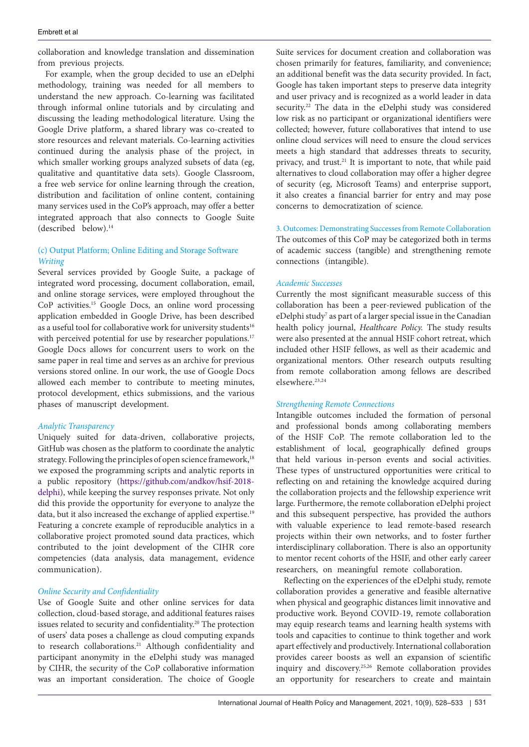collaboration and knowledge translation and dissemination from previous projects.

For example, when the group decided to use an eDelphi methodology, training was needed for all members to understand the new approach. Co-learning was facilitated through informal online tutorials and by circulating and discussing the leading methodological literature. Using the Google Drive platform, a shared library was co-created to store resources and relevant materials. Co-learning activities continued during the analysis phase of the project, in which smaller working groups analyzed subsets of data (eg, qualitative and quantitative data sets). Google Classroom, a free web service for online learning through the creation, distribution and facilitation of online content, containing many services used in the CoP's approach, may offer a better integrated approach that also connects to Google Suite (described below).14

## (c) Output Platform; Online Editing and Storage Software *Writing*

Several services provided by Google Suite, a package of integrated word processing, document collaboration, email, and online storage services, were employed throughout the CoP activities.15 Google Docs, an online word processing application embedded in Google Drive, has been described as a useful tool for collaborative work for university students<sup>16</sup> with perceived potential for use by researcher populations.<sup>17</sup> Google Docs allows for concurrent users to work on the same paper in real time and serves as an archive for previous versions stored online. In our work, the use of Google Docs allowed each member to contribute to meeting minutes, protocol development, ethics submissions, and the various phases of manuscript development.

## *Analytic Transparency*

Uniquely suited for data-driven, collaborative projects, GitHub was chosen as the platform to coordinate the analytic strategy. Following the principles of open science framework,<sup>18</sup> we exposed the programming scripts and analytic reports in a public repository [\(https://github.com/andkov/hsif-2018](https://github.com/andkov/hsif-2018-delphi) [delphi\)](https://github.com/andkov/hsif-2018-delphi), while keeping the survey responses private. Not only did this provide the opportunity for everyone to analyze the data, but it also increased the exchange of applied expertise.<sup>19</sup> Featuring a concrete example of reproducible analytics in a collaborative project promoted sound data practices, which contributed to the joint development of the CIHR core competencies (data analysis, data management, evidence communication).

## *Online Security and Confidentiality*

Use of Google Suite and other online services for data collection, cloud-based storage, and additional features raises issues related to security and confidentiality.20 The protection of users' data poses a challenge as cloud computing expands to research collaborations.<sup>21</sup> Although confidentiality and participant anonymity in the eDelphi study was managed by CIHR, the security of the CoP collaborative information was an important consideration. The choice of Google

Suite services for document creation and collaboration was chosen primarily for features, familiarity, and convenience; an additional benefit was the data security provided. In fact, Google has taken important steps to preserve data integrity and user privacy and is recognized as a world leader in data security.22 The data in the eDelphi study was considered low risk as no participant or organizational identifiers were collected; however, future collaboratives that intend to use online cloud services will need to ensure the cloud services meets a high standard that addresses threats to security, privacy, and trust.21 It is important to note, that while paid alternatives to cloud collaboration may offer a higher degree of security (eg, Microsoft Teams) and enterprise support, it also creates a financial barrier for entry and may pose concerns to democratization of science.

3. Outcomes: Demonstrating Successes from Remote Collaboration The outcomes of this CoP may be categorized both in terms of academic success (tangible) and strengthening remote connections (intangible).

### *Academic Successes*

Currently the most significant measurable success of this collaboration has been a peer-reviewed publication of the eDelphi study<sup>7</sup> as part of a larger special issue in the Canadian health policy journal, *Healthcare Policy.* The study results were also presented at the annual HSIF cohort retreat, which included other HSIF fellows, as well as their academic and organizational mentors. Other research outputs resulting from remote collaboration among fellows are described elsewhere.23,24

## *Strengthening Remote Connections*

Intangible outcomes included the formation of personal and professional bonds among collaborating members of the HSIF CoP. The remote collaboration led to the establishment of local, geographically defined groups that held various in-person events and social activities. These types of unstructured opportunities were critical to reflecting on and retaining the knowledge acquired during the collaboration projects and the fellowship experience writ large. Furthermore, the remote collaboration eDelphi project and this subsequent perspective, has provided the authors with valuable experience to lead remote-based research projects within their own networks, and to foster further interdisciplinary collaboration. There is also an opportunity to mentor recent cohorts of the HSIF, and other early career researchers, on meaningful remote collaboration.

Reflecting on the experiences of the eDelphi study, remote collaboration provides a generative and feasible alternative when physical and geographic distances limit innovative and productive work. Beyond COVID-19, remote collaboration may equip research teams and learning health systems with tools and capacities to continue to think together and work apart effectively and productively. International collaboration provides career boosts as well an expansion of scientific inquiry and discovery.25,26 Remote collaboration provides an opportunity for researchers to create and maintain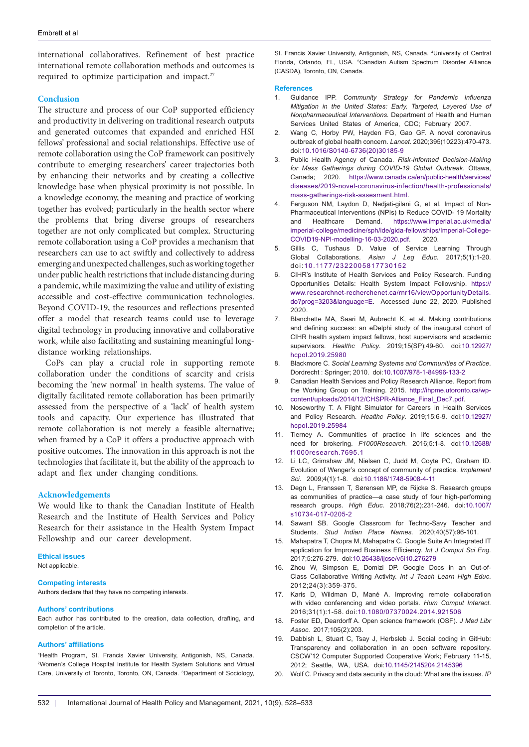international collaboratives. Refinement of best practice international remote collaboration methods and outcomes is required to optimize participation and impact.<sup>27</sup>

#### **Conclusion**

The structure and process of our CoP supported efficiency and productivity in delivering on traditional research outputs and generated outcomes that expanded and enriched HSI fellows' professional and social relationships. Effective use of remote collaboration using the CoP framework can positively contribute to emerging researchers' career trajectories both by enhancing their networks and by creating a collective knowledge base when physical proximity is not possible. In a knowledge economy, the meaning and practice of working together has evolved; particularly in the health sector where the problems that bring diverse groups of researchers together are not only complicated but complex. Structuring remote collaboration using a CoP provides a mechanism that researchers can use to act swiftly and collectively to address emerging and unexpected challenges, such as working together under public health restrictions that include distancing during a pandemic, while maximizing the value and utility of existing accessible and cost-effective communication technologies. Beyond COVID-19, the resources and reflections presented offer a model that research teams could use to leverage digital technology in producing innovative and collaborative work, while also facilitating and sustaining meaningful longdistance working relationships.

CoPs can play a crucial role in supporting remote collaboration under the conditions of scarcity and crisis becoming the 'new normal' in health systems. The value of digitally facilitated remote collaboration has been primarily assessed from the perspective of a 'lack' of health system tools and capacity. Our experience has illustrated that remote collaboration is not merely a feasible alternative; when framed by a CoP it offers a productive approach with positive outcomes. The innovation in this approach is not the technologies that facilitate it, but the ability of the approach to adapt and flex under changing conditions.

#### **Acknowledgements**

We would like to thank the Canadian Institute of Health Research and the Institute of Health Services and Policy Research for their assistance in the Health System Impact Fellowship and our career development.

#### **Ethical issues**

Not applicable.

#### **Competing interests**

Authors declare that they have no competing interests.

#### **Authors' contributions**

Each author has contributed to the creation, data collection, drafting, and completion of the article.

#### **Authors' affiliations**

1 Health Program, St. Francis Xavier University, Antigonish, NS, Canada. 2 Women's College Hospital Institute for Health System Solutions and Virtual Care, University of Toronto, Toronto, ON, Canada. 3 Department of Sociology,

St. Francis Xavier University, Antigonish, NS, Canada. 4 University of Central Florida, Orlando, FL, USA. <sup>5</sup>Canadian Autism Spectrum Disorder Alliance (CASDA), Toronto, ON, Canada.

#### **References**

- 1. Guidance IPP. *Community Strategy for Pandemic Influenza Mitigation in the United States: Early, Targeted, Layered Use of Nonpharmaceutical Interventions.* Department of Health and Human Services United States of America, CDC; February 2007.
- 2. Wang C, Horby PW, Hayden FG, Gao GF. A novel coronavirus outbreak of global health concern. *Lancet*. 2020;395(10223):470-473. doi:[10.1016/S0140-6736\(20\)30185-9](https://doi.org/10.1016/S0140-6736(20)30185-9)
- 3. Public Health Agency of Canada. *Risk-Informed Decision-Making for Mass Gatherings during COVID-19 Global Outbreak*. Ottawa, Canada; 2020. [https://www.canada.ca/en/public-health/services/](https://www.canada.ca/en/public-health/services/diseases/2019-novel-coronavirus-infection/health-professionals/mass-gatherings-risk-assesment.html) [diseases/2019-novel-coronavirus-infection/health-professionals/](https://www.canada.ca/en/public-health/services/diseases/2019-novel-coronavirus-infection/health-professionals/mass-gatherings-risk-assesment.html) [mass-gatherings-risk-assesment.html.](https://www.canada.ca/en/public-health/services/diseases/2019-novel-coronavirus-infection/health-professionals/mass-gatherings-risk-assesment.html)
- 4. Ferguson NM, Laydon D, Nedjati-gilani G, et al. Impact of Non-Pharmaceutical Interventions (NPIs) to Reduce COVID- 19 Mortality and Healthcare Demand. [https://www.imperial.ac.uk/media/](https://www.imperial.ac.uk/media/imperial-college/medicine/sph/ide/gida-fellowships/Imperial-College-COVID19-NPI-modelling-16-03-2020.pdf) [imperial-college/medicine/sph/ide/gida-fellowships/Imperial-College-](https://www.imperial.ac.uk/media/imperial-college/medicine/sph/ide/gida-fellowships/Imperial-College-COVID19-NPI-modelling-16-03-2020.pdf)[COVID19-NPI-modelling-16-03-2020.pdf](https://www.imperial.ac.uk/media/imperial-college/medicine/sph/ide/gida-fellowships/Imperial-College-COVID19-NPI-modelling-16-03-2020.pdf). 2020.
- Gillis C, Tushaus D. Value of Service Learning Through Global Collaborations. *Asian J Leg Educ*. 2017;5(1):1-20. doi:[10.1177/2322005817730152](https://doi.org/10.1177/2322005817730152)
- 6. CIHR's Institute of Health Services and Policy Research. Funding Opportunities Details: Health System Impact Fellowship. [https://](https://www.researchnet-recherchenet.ca/rnr16/viewOpportunityDetails.do?prog=3203&language=E) [www.researchnet-recherchenet.ca/rnr16/viewOpportunityDetails.](https://www.researchnet-recherchenet.ca/rnr16/viewOpportunityDetails.do?prog=3203&language=E) [do?prog=3203&language=E.](https://www.researchnet-recherchenet.ca/rnr16/viewOpportunityDetails.do?prog=3203&language=E) Accessed June 22, 2020. Published 2020.
- 7. Blanchette MA, Saari M, Aubrecht K, et al. Making contributions and defining success: an eDelphi study of the inaugural cohort of CIHR health system impact fellows, host supervisors and academic supervisors. *Healthc Policy*. 2019;15(SP):49-60. doi:[10.12927/](https://doi.org/10.12927/hcpol.2019.25980) [hcpol.2019.25980](https://doi.org/10.12927/hcpol.2019.25980)
- 8. Blackmore C. *Social Learning Systems and Communities of Practice*. Dordrecht : Springer; 2010. doi:[10.1007/978-1-84996-133-2](https://doi.org/10.1007/978-1-84996-133-2)
- 9. Canadian Health Services and Policy Research Alliance. Report from the Working Group on Training. 2015. [http://ihpme.utoronto.ca/wp](http://ihpme.utoronto.ca/wp-content/uploads/2014/12/CHSPR-Alliance_Final_Dec7.pdf)[content/uploads/2014/12/CHSPR-Alliance\\_Final\\_Dec7.pdf.](http://ihpme.utoronto.ca/wp-content/uploads/2014/12/CHSPR-Alliance_Final_Dec7.pdf)
- 10. Noseworthy T. A Flight Simulator for Careers in Health Services and Policy Research. *Healthc Policy*. 2019;15:6-9. doi:[10.12927/](https://doi.org/10.12927/hcpol.2019.25984) [hcpol.2019.25984](https://doi.org/10.12927/hcpol.2019.25984)
- 11. Tierney A. Communities of practice in life sciences and the need for brokering. *F1000Research*. 2016;5:1-8. doi:[10.12688/](https://doi.org/10.12688/f1000research.7695.1) [f1000research.7695.1](https://doi.org/10.12688/f1000research.7695.1)
- 12. Li LC, Grimshaw JM, Nielsen C, Judd M, Coyte PC, Graham ID. Evolution of Wenger's concept of community of practice. *Implement Sci*. 2009;4(1):1-8. doi:[10.1186/1748-5908-4-11](https://doi.org/10.1186/1748-5908-4-11)
- 13. Degn L, Franssen T, Sørensen MP, de Rijcke S. Research groups as communities of practice—a case study of four high-performing research groups. *High Educ*. 2018;76(2):231-246. doi:[10.1007/](https://doi.org/10.1007/s10734-017-0205-2) [s10734-017-0205-2](https://doi.org/10.1007/s10734-017-0205-2)
- 14. Sawant SB. Google Classroom for Techno-Savy Teacher and Students. *Stud Indian Place Names*. 2020;40(57):96-101.
- 15. Mahapatra T, Chopra M, Mahapatra C. Google Suite An Integrated IT application for Improved Business Efficiency. *Int J Comput Sci Eng*. 2017;5:276-279. doi:[10.26438/ijcse/v5i10.276279](https://doi.org/10.26438/ijcse/v5i10.276279)
- 16. Zhou W, Simpson E, Domizi DP. Google Docs in an Out-of-Class Collaborative Writing Activity. *Int J Teach Learn High Educ*. 2012;24(3):359-375.
- 17. Karis D, Wildman D, Mané A. Improving remote collaboration with video conferencing and video portals. *Hum Comput Interact*. 2016;31(1):1-58. doi:[10.1080/07370024.2014.921506](https://doi.org/10.1080/07370024.2014.921506)
- 18. Foster ED, Deardorff A. Open science framework (OSF). *J Med Libr Assoc*. 2017;105(2):203.
- 19. Dabbish L, Stuart C, Tsay J, Herbsleb J. Social coding in GitHub: Transparency and collaboration in an open software repository. CSCW'12 Computer Supported Cooperative Work; February 11-15, 2012; Seattle, WA, USA. doi:[10.1145/2145204.2145396](https://doi.org/10.1145/2145204.2145396)
- 20. Wolf C. Privacy and data security in the cloud: What are the issues. *IP*